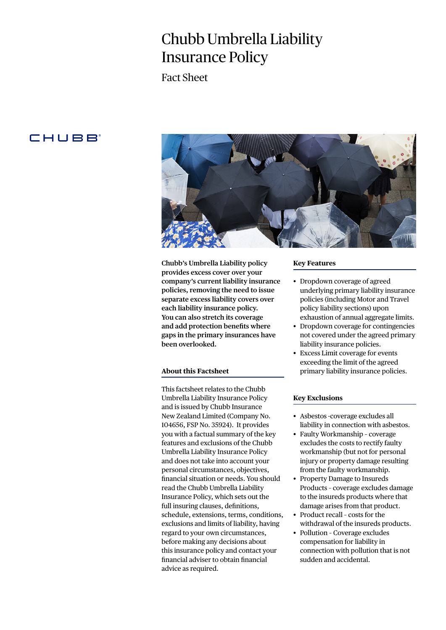# Chubb Umbrella Liability Insurance Policy

Fact Sheet

# **CHUBB**



**Chubb's Umbrella Liability policy provides excess cover over your company's current liability insurance policies, removing the need to issue separate excess liability covers over each liability insurance policy. You can also stretch its coverage and add protection benefits where gaps in the primary insurances have been overlooked.**

# **About this Factsheet**

This factsheet relates to the Chubb Umbrella Liability Insurance Policy and is issued by Chubb Insurance New Zealand Limited (Company No. 104656, FSP No. 35924). It provides you with a factual summary of the key features and exclusions of the Chubb Umbrella Liability Insurance Policy and does not take into account your personal circumstances, objectives, financial situation or needs. You should read the Chubb Umbrella Liability Insurance Policy, which sets out the full insuring clauses, definitions, schedule, extensions, terms, conditions, exclusions and limits of liability, having regard to your own circumstances, before making any decisions about this insurance policy and contact your financial adviser to obtain financial advice as required.

#### **Key Features**

- Dropdown coverage of agreed underlying primary liability insurance policies (including Motor and Travel policy liability sections) upon exhaustion of annual aggregate limits.
- Dropdown coverage for contingencies not covered under the agreed primary liability insurance policies.
- Excess Limit coverage for events exceeding the limit of the agreed primary liability insurance policies.

### **Key Exclusions**

- Asbestos -coverage excludes all liability in connection with asbestos.
- Faulty Workmanship coverage excludes the costs to rectify faulty workmanship (but not for personal injury or property damage resulting from the faulty workmanship.
- Property Damage to Insureds Products – coverage excludes damage to the insureds products where that damage arises from that product.
- Product recall costs for the withdrawal of the insureds products.
- Pollution Coverage excludes compensation for liability in connection with pollution that is not sudden and accidental.